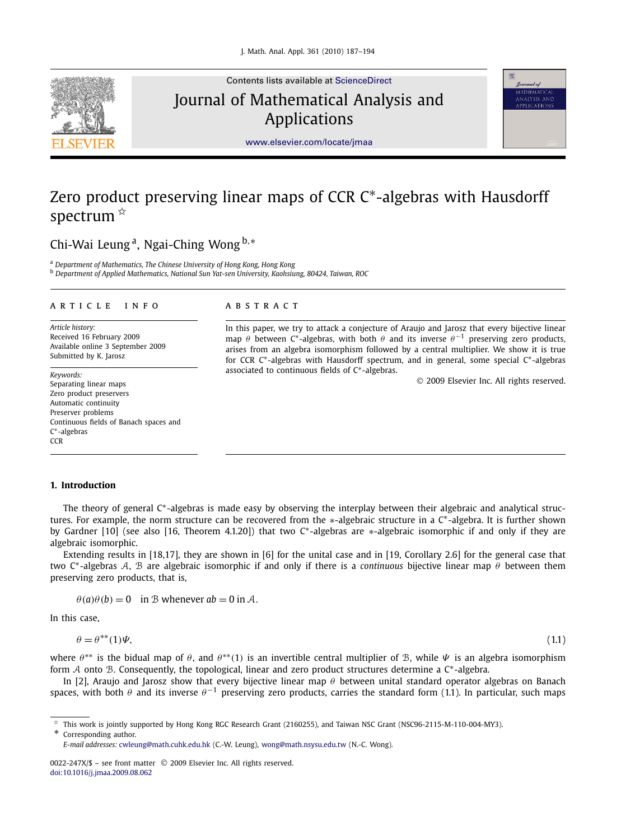

Contents lists available at [ScienceDirect](http://www.ScienceDirect.com/) Journal of Mathematical Analysis and Applications



[www.elsevier.com/locate/jmaa](http://www.elsevier.com/locate/jmaa)

# Zero product preserving linear maps of CCR C∗-algebras with Hausdorff spectrum  $\mathbb{R}$

## Chi-Wai Leung a, Ngai-Ching Wong <sup>b</sup>*,*<sup>∗</sup>

<sup>a</sup> *Department of Mathematics, The Chinese University of Hong Kong, Hong Kong*

<sup>b</sup> *Department of Applied Mathematics, National Sun Yat-sen University, Kaohsiung, 80424, Taiwan, ROC*

#### article info abstract

*Article history:* Received 16 February 2009 Available online 3 September 2009 Submitted by K. Jarosz

*Keywords:* Separating linear maps Zero product preservers Automatic continuity Preserver problems Continuous fields of Banach spaces and C∗-algebras **CCR** 

In this paper, we try to attack a conjecture of Araujo and Jarosz that every bijective linear map  $\theta$  between C<sup>\*</sup>-algebras, with both  $\theta$  and its inverse  $\theta^{-1}$  preserving zero products, arises from an algebra isomorphism followed by a central multiplier. We show it is true for CCR C∗-algebras with Hausdorff spectrum, and in general, some special C∗-algebras associated to continuous fields of C∗-algebras.

© 2009 Elsevier Inc. All rights reserved.

#### **1. Introduction**

The theory of general C<sup>∗</sup>-algebras is made easy by observing the interplay between their algebraic and analytical structures. For example, the norm structure can be recovered from the \*-algebraic structure in a C<sup>\*</sup>-algebra. It is further shown by Gardner [10] (see also [16, Theorem 4.1.20]) that two C∗-algebras are ∗-algebraic isomorphic if and only if they are algebraic isomorphic.

Extending results in [18,17], they are shown in [6] for the unital case and in [19, Corollary 2.6] for the general case that two C∗-algebras A, B are algebraic isomorphic if and only if there is a *continuous* bijective linear map *θ* between them preserving zero products, that is,

 $\theta$ (*a*) $\theta$ (*b*) = 0 in B whenever *ab* = 0 in A.

In this case,

$$
\theta = \theta^{**}(1)\Psi,\tag{1.1}
$$

where  $\theta^{**}$  is the bidual map of  $\theta$ , and  $\theta^{**}(1)$  is an invertible central multiplier of B, while  $\Psi$  is an algebra isomorphism form A onto B. Consequently, the topological, linear and zero product structures determine a C∗-algebra.

In [2], Araujo and Jarosz show that every bijective linear map *θ* between unital standard operator algebras on Banach spaces, with both  $\theta$  and its inverse  $\theta^{-1}$  preserving zero products, carries the standard form (1.1). In particular, such maps

\* Corresponding author.

 $*$  This work is jointly supported by Hong Kong RGC Research Grant (2160255), and Taiwan NSC Grant (NSC96-2115-M-110-004-MY3).

*E-mail addresses:* [cwleung@math.cuhk.edu.hk](mailto:cwleung@math.cuhk.edu.hk) (C.-W. Leung), [wong@math.nsysu.edu.tw](mailto:wong@math.nsysu.edu.tw) (N.-C. Wong).

<sup>0022-247</sup>X/\$ – see front matter © 2009 Elsevier Inc. All rights reserved. [doi:10.1016/j.jmaa.2009.08.062](http://dx.doi.org/10.1016/j.jmaa.2009.08.062)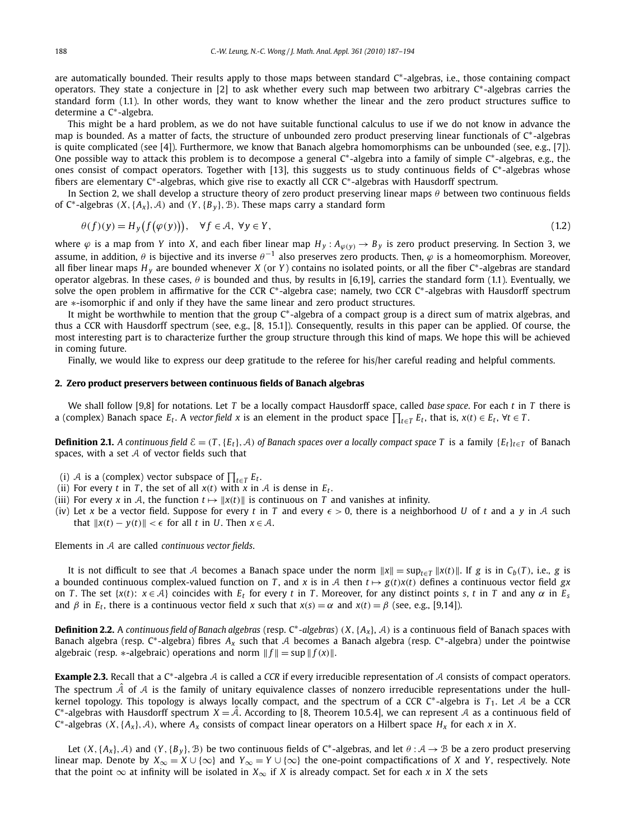are automatically bounded. Their results apply to those maps between standard C∗-algebras, i.e., those containing compact operators. They state a conjecture in [2] to ask whether every such map between two arbitrary C∗-algebras carries the standard form (1.1). In other words, they want to know whether the linear and the zero product structures suffice to determine a C∗-algebra.

This might be a hard problem, as we do not have suitable functional calculus to use if we do not know in advance the map is bounded. As a matter of facts, the structure of unbounded zero product preserving linear functionals of C∗-algebras is quite complicated (see [4]). Furthermore, we know that Banach algebra homomorphisms can be unbounded (see, e.g., [7]). One possible way to attack this problem is to decompose a general  $C^*$ -algebra into a family of simple  $C^*$ -algebras, e.g., the ones consist of compact operators. Together with [13], this suggests us to study continuous fields of C∗-algebras whose fibers are elementary C∗-algebras, which give rise to exactly all CCR C∗-algebras with Hausdorff spectrum.

In Section 2, we shall develop a structure theory of zero product preserving linear maps *θ* between two continuous fields of C<sup>∗</sup>-algebras  $(X, \{A_x\}, \mathcal{A})$  and  $(Y, \{B_y\}, \mathcal{B})$ . These maps carry a standard form

$$
\theta(f)(y) = H_y(f(\varphi(y))), \quad \forall f \in \mathcal{A}, \ \forall y \in Y,
$$
\n(1.2)

where  $\varphi$  is a map from *Y* into *X*, and each fiber linear map  $H_y$ :  $A_{\varphi(y)} \to B_y$  is zero product preserving. In Section 3, we assume, in addition, *θ* is bijective and its inverse *θ*−<sup>1</sup> also preserves zero products. Then, *ϕ* is a homeomorphism. Moreover, all fiber linear maps *<sup>H</sup> <sup>y</sup>* are bounded whenever *<sup>X</sup>* (or *<sup>Y</sup>* ) contains no isolated points, or all the fiber C∗-algebras are standard operator algebras. In these cases, *θ* is bounded and thus, by results in [6,19], carries the standard form (1.1). Eventually, we solve the open problem in affirmative for the CCR C<sup>∗</sup>-algebra case; namely, two CCR C<sup>∗</sup>-algebras with Hausdorff spectrum are ∗-isomorphic if and only if they have the same linear and zero product structures.

It might be worthwhile to mention that the group C∗-algebra of a compact group is a direct sum of matrix algebras, and thus a CCR with Hausdorff spectrum (see, e.g., [8, 15.1]). Consequently, results in this paper can be applied. Of course, the most interesting part is to characterize further the group structure through this kind of maps. We hope this will be achieved in coming future.

Finally, we would like to express our deep gratitude to the referee for his/her careful reading and helpful comments.

#### **2. Zero product preservers between continuous fields of Banach algebras**

We shall follow [9,8] for notations. Let *T* be a locally compact Hausdorff space, called *base space*. For each *t* in *T* there is a (complex) Banach space  $E_t$ . A *vector field* x is an element in the product space  $\prod_{t\in T}E_t$ , that is,  $x(t)\in E_t$ ,  $\forall t\in T$ .

**Definition 2.1.** *A continuous field*  $\mathcal{E} = (T, \{E_t\}, \mathcal{A})$  *of Banach spaces over a locally compact space* T is a family  $\{E_t\}_{t \in T}$  of Banach spaces, with a set  $A$  of vector fields such that

- (i)  $A$  is a (complex) vector subspace of  $\prod_{t\in T}E_t$ .
- (ii) For every *t* in *T*, the set of all  $x(t)$  with *x* in *A* is dense in  $E_t$ .
- (iii) For every *x* in *A*, the function  $t \mapsto ||x(t)||$  is continuous on *T* and vanishes at infinity.
- (iv) Let x be a vector field. Suppose for every t in T and every  $\epsilon > 0$ , there is a neighborhood U of t and a y in A such that  $||x(t) - y(t)|| < \epsilon$  for all *t* in *U*. Then  $x \in A$ .

Elements in A are called *continuous vector fields*.

It is not difficult to see that A becomes a Banach space under the norm  $||x|| = \sup_{t \in T} ||x(t)||$ . If g is in  $C_b(T)$ , i.e., g is a bounded continuous complex-valued function on *T*, and *x* is in *A* then  $t \mapsto g(t)x(t)$  defines a continuous vector field *gx* on *T*. The set { $x(t)$ :  $x \in A$ } coincides with  $E_t$  for every *t* in *T*. Moreover, for any distinct points *s*, *t* in *T* and any  $\alpha$  in  $E_s$ and  $\beta$  in  $E_t$ , there is a continuous vector field *x* such that  $x(s) = \alpha$  and  $x(t) = \beta$  (see, e.g., [9,14]).

**Definition 2.2.** <sup>A</sup> *continuous field of Banach algebras* (resp. C∗*-algebras*) *(X,*{*Ax*}, A*)* is a continuous field of Banach spaces with Banach algebra (resp. C∗-algebra) fibres *Ax* such that A becomes a Banach algebra (resp. C∗-algebra) under the pointwise algebraic (resp. \*-algebraic) operations and norm  $|| f || = \sup ||f(x)||$ .

**Example 2.3.** Recall that a C∗-algebra A is called a *CCR* if every irreducible representation of A consists of compact operators. The spectrum  $\tilde{A}$  of  $A$  is the family of unitary equivalence classes of nonzero irreducible representations under the hullkernel topology. This topology is always locally compact, and the spectrum of a CCR C∗-algebra is *<sup>T</sup>*1. Let A be a CCR <sup>C</sup>∗-algebras with Hausdorff spectrum *<sup>X</sup>* = Aˆ. According to [8, Theorem 10.5.4], we can represent A as a continuous field of <sup>C</sup>∗-algebras *(X,*{*Ax*}*,*A*)*, where *Ax* consists of compact linear operators on a Hilbert space *Hx* for each *<sup>x</sup>* in *<sup>X</sup>*.

Let  $(X, \{A_x\}, \mathcal{A})$  and  $(Y, \{B_y\}, \mathcal{B})$  be two continuous fields of C<sup>∗</sup>-algebras, and let  $\theta : \mathcal{A} \to \mathcal{B}$  be a zero product preserving linear map. Denote by  $X_{\infty} = X \cup \{\infty\}$  and  $Y_{\infty} = Y \cup \{\infty\}$  the one-point compactifications of *X* and *Y*, respectively. Note that the point  $\infty$  at infinity will be isolated in  $X_{\infty}$  if *X* is already compact. Set for each *x* in *X* the sets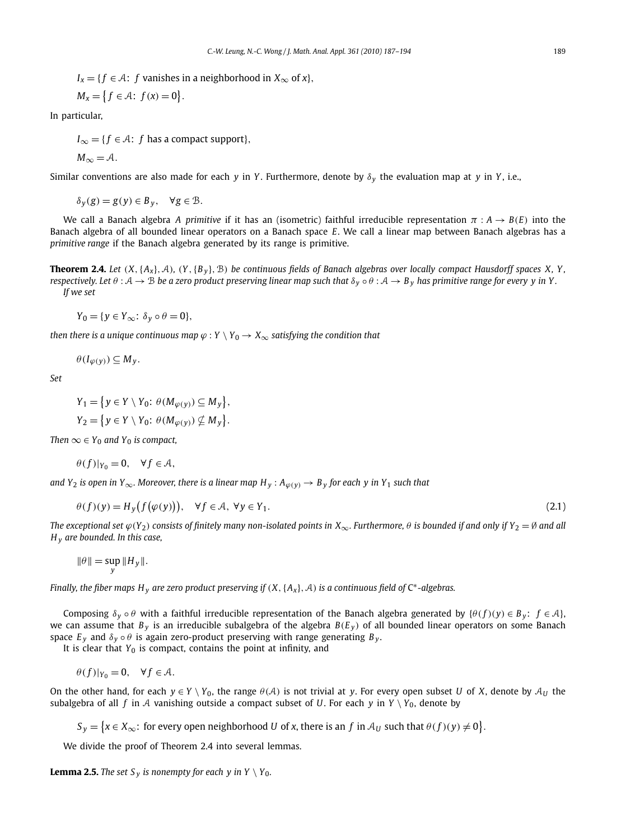$I_x = \{f \in \mathcal{A}: f \text{ vanishes in a neighborhood in } X_\infty \text{ of } x\},\$ 

$$
M_x = \left\{ f \in \mathcal{A} : f(x) = 0 \right\}.
$$

In particular,

 $I_{\infty} = \{f \in \mathcal{A}: f \text{ has a compact support}\},\$ 

$$
M_{\infty} = A.
$$

Similar conventions are also made for each *y* in *Y* . Furthermore, denote by *δ<sup>y</sup>* the evaluation map at *y* in *Y* , i.e.,

$$
\delta_y(g) = g(y) \in B_y, \quad \forall g \in \mathcal{B}.
$$

We call a Banach algebra *A primitive* if it has an (isometric) faithful irreducible representation *π* : *A* → *B(E)* into the Banach algebra of all bounded linear operators on a Banach space *E*. We call a linear map between Banach algebras has a *primitive range* if the Banach algebra generated by its range is primitive.

**Theorem 2.4.** Let  $(X, \{A_x\}, \mathcal{A})$ ,  $(Y, \{B_y\}, \mathcal{B})$  be continuous fields of Banach algebras over locally compact Hausdorff spaces X, Y, *respectively. Let*  $\theta : A \to B$  *be a zero product preserving linear map such that*  $\delta_y \circ \theta : A \to B_y$  *has primitive range for every y in Y. If we set*

$$
Y_0 = \{ y \in Y_\infty : \delta_y \circ \theta = 0 \},
$$

*then there is a unique continuous map*  $\varphi$  :  $Y \setminus Y_0 \to X_\infty$  *satisfying the condition that* 

$$
\theta(I_{\varphi(y)})\subseteq M_y.
$$

*Set*

$$
Y_1 = \{ y \in Y \setminus Y_0 : \theta(M_{\varphi(y)}) \subseteq M_y \},
$$
  
\n
$$
Y_2 = \{ y \in Y \setminus Y_0 : \theta(M_{\varphi(y)}) \nsubseteq M_y \}.
$$

*Then*  $\infty \in Y_0$  *and*  $Y_0$  *is compact,* 

$$
\theta(f)|_{Y_0}=0, \quad \forall f\in \mathcal{A},
$$

*and Y*<sub>2</sub> *is open in Y*<sub>∞</sub>*. Moreover, there is a linear map H<sub>y</sub> :*  $A_{\varphi(y)} \to B_y$  *for each y in Y*<sub>1</sub> *such that* 

$$
\theta(f)(y) = H_y(f(\varphi(y))), \quad \forall f \in \mathcal{A}, \ \forall y \in Y_1.
$$
\n(2.1)

*The exceptional set*  $\varphi(Y_2)$  *consists of finitely many non-isolated points in*  $X_\infty$ *. Furthermore,*  $\theta$  *is bounded if and only if*  $Y_2 = \emptyset$  *and all H <sup>y</sup> are bounded. In this case,*

$$
\|\theta\| = \sup_{y} \|H_y\|.
$$

*Finally, the fiber maps H <sup>y</sup> are zero product preserving if (X,*{*Ax*}*,*A*) is a continuous field of* <sup>C</sup>∗*-algebras.*

Composing  $\delta$ <sub>*y*</sub>  $\circ$  *θ* with a faithful irreducible representation of the Banach algebra generated by  $\{\theta(f)(y) \in B_y: f \in A\}$ , we can assume that  $B_y$  is an irreducible subalgebra of the algebra  $B(E_y)$  of all bounded linear operators on some Banach space  $E_y$  and  $\delta_y \circ \theta$  is again zero-product preserving with range generating  $B_y$ .

It is clear that  $Y_0$  is compact, contains the point at infinity, and

$$
\theta(f)|_{Y_0} = 0, \quad \forall f \in \mathcal{A}.
$$

On the other hand, for each  $y \in Y \setminus Y_0$ , the range  $\theta(A)$  is not trivial at *y*. For every open subset *U* of *X*, denote by  $A_U$  the subalgebra of all *f* in A vanishing outside a compact subset of *U*. For each *y* in  $Y \setminus Y_0$ , denote by

 $S_y = \{x \in X_\infty\colon \text{for every open neighborhood } U \text{ of } x \text{, there is an } f \text{ in } \mathcal{A}_U \text{ such that } \theta(f)(y) \neq 0\}.$ 

We divide the proof of Theorem 2.4 into several lemmas.

**Lemma 2.5.** *The set*  $S_v$  *is nonempty for each y in*  $Y \setminus Y_0$ *.*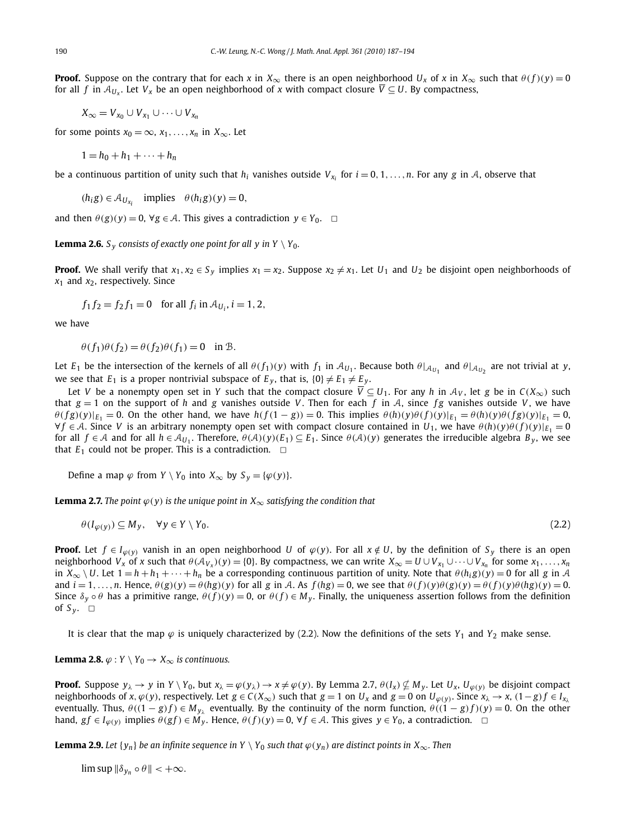**Proof.** Suppose on the contrary that for each *x* in  $X_\infty$  there is an open neighborhood  $U_x$  of *x* in  $X_\infty$  such that  $\theta(f)(y) = 0$ for all *f* in  $A_{U_x}$ . Let  $V_x$  be an open neighborhood of *x* with compact closure  $\overline{V} \subseteq U$ . By compactness,

 $X_{\infty} = V_{x_0} \cup V_{x_1} \cup \cdots \cup V_{x_n}$ 

for some points  $x_0 = \infty$ ,  $x_1, \ldots, x_n$  in  $X_\infty$ . Let

 $1 = h_0 + h_1 + \cdots + h_n$ 

be a continuous partition of unity such that  $h_i$  vanishes outside  $V_{x_i}$  for  $i = 0, 1, \ldots, n$ . For any *g* in A, observe that

 $(h_i g) \in A_{U_{x_i}}$  implies  $\theta(h_i g)(y) = 0$ ,

and then  $\theta(g)(y) = 0$ ,  $\forall g \in A$ . This gives a contradiction  $y \in Y_0$ .  $\Box$ 

**Lemma 2.6.**  $S_v$  consists of exactly one point for all y in  $Y \setminus Y_0$ .

**Proof.** We shall verify that  $x_1, x_2 \in S_y$  implies  $x_1 = x_2$ . Suppose  $x_2 \neq x_1$ . Let  $U_1$  and  $U_2$  be disjoint open neighborhoods of  $x_1$  and  $x_2$ , respectively. Since

$$
f_1 f_2 = f_2 f_1 = 0
$$
 for all  $f_i$  in  $A_{U_i}$ ,  $i = 1, 2$ ,

we have

$$
\theta(f_1)\theta(f_2) = \theta(f_2)\theta(f_1) = 0 \text{ in } \mathcal{B}.
$$

Let *E*<sub>1</sub> be the intersection of the kernels of all  $\theta(f_1)(y)$  with  $f_1$  in  $\mathcal{A}_{U_1}$ . Because both  $\theta|_{\mathcal{A}_{U_1}}$  and  $\theta|_{\mathcal{A}_{U_2}}$  are not trivial at *y*, we see that  $E_1$  is a proper nontrivial subspace of  $E_y$ , that is,  $\{0\} \neq E_1 \neq E_y$ .

Let *V* be a nonempty open set in *Y* such that the compact closure  $\overline{V} \subseteq U_1$ . For any *h* in  $\mathcal{A}_V$ , let *g* be in  $C(X_\infty)$  such that  $g = 1$  on the support of *h* and *g* vanishes outside *V*. Then for each *f* in *A*, since *fg* vanishes outside *V*, we have  $\theta(fg)(y)|_{E_1} = 0$ . On the other hand, we have  $h(f(1-g)) = 0$ . This implies  $\theta(h)(y)\theta(f)(y)|_{E_1} = \theta(h)(y)\theta(fg)(y)|_{E_1} = 0$ ,  $\forall f \in \mathcal{A}$ . Since *V* is an arbitrary nonempty open set with compact closure contained in *U*<sub>1</sub>, we have  $\theta(h)(y)\theta(f)(y)|_{E_1} = 0$ for all  $f \in A$  and for all  $h \in A_{U_1}$ . Therefore,  $\theta(A)(y)(E_1) \subseteq E_1$ . Since  $\theta(A)(y)$  generates the irreducible algebra  $B_y$ , we see that  $E_1$  could not be proper. This is a contradiction.  $\Box$ 

Define a map  $\varphi$  from *Y* \ *Y*<sub>0</sub> into *X*<sub>∞</sub> by *S*<sub>*y*</sub> = { $\varphi$ (*y*)}.

**Lemma 2.7.** *The point*  $\varphi(y)$  *is the unique point in*  $X_{\infty}$  *satisfying the condition that* 

$$
\theta(I_{\varphi(y)}) \subseteq M_y, \quad \forall y \in Y \setminus Y_0. \tag{2.2}
$$

**Proof.** Let  $f \in I_{\varphi(y)}$  vanish in an open neighborhood U of  $\varphi(y)$ . For all  $x \notin U$ , by the definition of  $S_y$  there is an open neighborhood *V<sub>x</sub>* of *x* such that  $\theta(\mathcal{A}_{V_x})(y) = \{0\}$ . By compactness, we can write  $X_\infty = U \cup V_{x_1} \cup \cdots \cup V_{x_n}$  for some  $x_1, \ldots, x_n$ in  $X_{\infty} \setminus U$ . Let  $1 = h + h_1 + \cdots + h_n$  be a corresponding continuous partition of unity. Note that  $\theta(h_i g)(y) = 0$  for all *g* in A and  $i = 1, ..., n$ . Hence,  $\theta(g)(y) = \theta(hg)(y)$  for all g in A. As  $f(hg) = 0$ , we see that  $\theta(f)(y)\theta(g)(y) = \theta(f)(y)\theta(hg)(y) = 0$ . Since  $\delta_y \circ \theta$  has a primitive range,  $\theta(f)(y) = 0$ , or  $\theta(f) \in M_y$ . Finally, the uniqueness assertion follows from the definition of  $S_v$ .  $\Box$ 

It is clear that the map  $\varphi$  is uniquely characterized by (2.2). Now the definitions of the sets  $Y_1$  and  $Y_2$  make sense.

**Lemma 2.8.**  $\varphi$  :  $Y \setminus Y_0 \to X_\infty$  *is continuous.* 

**Proof.** Suppose  $y_\lambda \to y$  in  $Y \setminus Y_0$ , but  $x_\lambda = \varphi(y_\lambda) \to x \neq \varphi(y)$ . By Lemma 2.7,  $\theta(I_\lambda) \nsubseteq M_y$ . Let  $U_x$ ,  $U_{\varphi(y)}$  be disjoint compact neighborhoods of x,  $\varphi(y)$ , respectively. Let  $g \in C(X_\infty)$  such that  $g = 1$  on  $U_x$  and  $g = 0$  on  $U_{\varphi(y)}$ . Since  $x_\lambda \to x$ ,  $(1-g)f \in I_{x_\lambda}$ eventually. Thus,  $\theta((1-g)f) \in M_{y_\lambda}$  eventually. By the continuity of the norm function,  $\theta((1-g)f)(y) = 0$ . On the other hand,  $gf \in I_{\varphi(y)}$  implies  $\theta(gf) \in M_y$ . Hence,  $\theta(f)(y) = 0$ ,  $\forall f \in A$ . This gives  $y \in Y_0$ , a contradiction.  $\Box$ 

**Lemma 2.9.** Let  $\{y_n\}$  be an infinite sequence in  $Y \setminus Y_0$  such that  $\varphi(y_n)$  are distinct points in  $X_\infty$ . Then

 $\limsup ||\delta_{\gamma_n} \circ \theta|| < +\infty$ .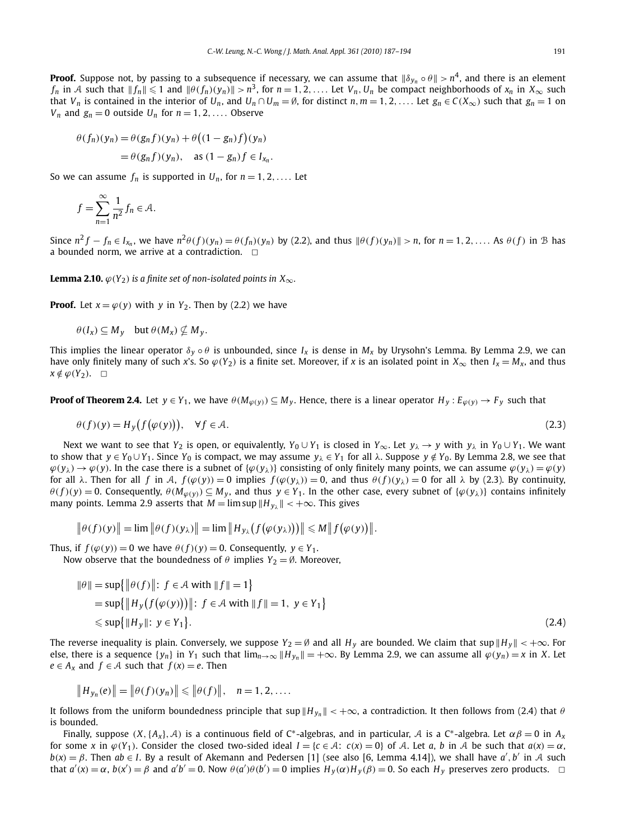**Proof.** Suppose not, by passing to a subsequence if necessary, we can assume that  $\|\delta_{y_n} \circ \theta\| > n^4$ , and there is an element  $f_n$  in A such that  $||f_n|| \leq 1$  and  $||\theta(f_n)(y_n)|| > n^3$ , for  $n = 1, 2, \ldots$ . Let  $V_n, U_n$  be compact neighborhoods of  $x_n$  in  $X_\infty$  such that  $V_n$  is contained in the interior of  $U_n$ , and  $U_n \cap U_m = \emptyset$ , for distinct  $n, m = 1, 2, ...$  Let  $g_n \in C(X_\infty)$  such that  $g_n = 1$  on *V<sub>n</sub>* and  $g_n = 0$  outside *U<sub>n</sub>* for  $n = 1, 2, \ldots$  Observe

$$
\theta(f_n)(y_n) = \theta(g_n f)(y_n) + \theta((1 - g_n)f)(y_n)
$$
  
=  $\theta(g_n f)(y_n)$ , as  $(1 - g_n)f \in I_{x_n}$ .

So we can assume  $f_n$  is supported in  $U_n$ , for  $n = 1, 2, \ldots$ . Let

$$
f = \sum_{n=1}^{\infty} \frac{1}{n^2} f_n \in \mathcal{A}.
$$

Since  $n^2 f - f_n \in I_{x_n}$ , we have  $n^2 \theta(f)(y_n) = \theta(f_n)(y_n)$  by (2.2), and thus  $\|\theta(f)(y_n)\| > n$ , for  $n = 1, 2, ...$  As  $\theta(f)$  in  $\mathcal{B}$  has a bounded norm, we arrive at a contradiction.  $\Box$ 

**Lemma 2.10.**  $\varphi(Y_2)$  *is a finite set of non-isolated points in*  $X_{\infty}$ *.* 

**Proof.** Let  $x = \varphi(y)$  with *y* in  $Y_2$ . Then by (2.2) we have

$$
\theta(I_x) \subseteq M_y
$$
 but  $\theta(M_x) \nsubseteq M_y$ .

This implies the linear operator  $\delta_y \circ \theta$  is unbounded, since  $I_x$  is dense in  $M_x$  by Urysohn's Lemma. By Lemma 2.9, we can have only finitely many of such *x*'s. So  $\varphi(Y_2)$  is a finite set. Moreover, if *x* is an isolated point in  $X_\infty$  then  $I_x = M_x$ , and thus  $x \notin \varphi(Y_2)$ . □

**Proof of Theorem 2.4.** Let  $y \in Y_1$ , we have  $\theta(M_{\varphi(y)}) \subseteq M_y$ . Hence, there is a linear operator  $H_y : E_{\varphi(y)} \to F_y$  such that

$$
\theta(f)(y) = H_y(f(\varphi(y))), \quad \forall f \in \mathcal{A}.\tag{2.3}
$$

Next we want to see that *Y*<sub>2</sub> is open, or equivalently, *Y*<sub>0</sub> ∪ *Y*<sub>1</sub> is closed in *Y*<sub>∞</sub>. Let *y*<sub>λ</sub> → *y* with *y*<sub>λ</sub> in *Y*<sub>0</sub> ∪ *Y*<sub>1</sub>. We want to show that  $y \in Y_0 \cup Y_1$ . Since  $Y_0$  is compact, we may assume  $y_\lambda \in Y_1$  for all  $\lambda$ . Suppose  $y \notin Y_0$ . By Lemma 2.8, we see that  $\varphi(y_\lambda) \to \varphi(y)$ . In the case there is a subnet of  $\{\varphi(y_\lambda)\}\)$  consisting of only finitely many points, we can assume  $\varphi(y_\lambda) = \varphi(y)$ for all  $\lambda$ . Then for all f in A,  $f(\varphi(y)) = 0$  implies  $f(\varphi(y_\lambda)) = 0$ , and thus  $\theta(f)(y_\lambda) = 0$  for all  $\lambda$  by (2.3). By continuity,  $\theta(f)(y) = 0$ . Consequently,  $\theta(M_{\varphi(y)}) \subseteq M_y$ , and thus  $y \in Y_1$ . In the other case, every subnet of  $\{\varphi(y_\lambda)\}\$  contains infinitely many points. Lemma 2.9 asserts that  $M = \limsup ||H_{v_\lambda}|| < +\infty$ . This gives

$$
\|\theta(f)(y)\| = \lim \|\theta(f)(y_\lambda)\| = \lim \|H_{y_\lambda}(f(\varphi(y_\lambda)))\| \le M \|f(\varphi(y))\|.
$$

Thus, if  $f(\varphi(y)) = 0$  we have  $\theta(f)(y) = 0$ . Consequently,  $y \in Y_1$ . Now observe that the boundedness of  $\theta$  implies  $Y_2 = \emptyset$ . Moreover,

$$
\|\theta\| = \sup \{ \|\theta(f)\| : f \in \mathcal{A} \text{ with } \|f\| = 1 \}
$$
  
=  $\sup \{ \|H_y(f(\varphi(y)))\| : f \in \mathcal{A} \text{ with } \|f\| = 1, y \in Y_1 \}$   
 $\leq \sup \{ \|H_y\| : y \in Y_1 \}.$  (2.4)

The reverse inequality is plain. Conversely, we suppose  $Y_2 = \emptyset$  and all  $H_y$  are bounded. We claim that sup  $||H_y|| < +\infty$ . For else, there is a sequence { $y_n$ } in  $Y_1$  such that  $\lim_{n\to\infty}$   $||H_{y_n}|| = +\infty$ . By Lemma 2.9, we can assume all  $\varphi(y_n) = x$  in *X*. Let *e* ∈ *A*<sub>*x*</sub> and *f* ∈ *A* such that *f* (*x*) = *e*. Then

$$
||H_{y_n}(e)|| = ||\theta(f)(y_n)|| \le ||\theta(f)||, \quad n = 1, 2, ....
$$

It follows from the uniform boundedness principle that  $\sup \|H_{y_n}\| < +\infty$ , a contradiction. It then follows from (2.4) that  $\theta$ is bounded.

Finally, suppose  $(X, \{A_x\}, \mathcal{A})$  is a continuous field of C<sup>\*</sup>-algebras, and in particular,  $\mathcal{A}$  is a C<sup>\*</sup>-algebra. Let  $\alpha \beta = 0$  in  $A_x$ for some x in  $\varphi(Y_1)$ . Consider the closed two-sided ideal  $I = \{c \in A: c(x) = 0\}$  of A. Let a, b in A be such that  $a(x) = \alpha$ ,  $b(x) = \beta$ . Then  $ab \in I$ . By a result of Akemann and Pedersen [1] (see also [6, Lemma 4.14]), we shall have  $a', b'$  in A such that  $a'(x) = \alpha$ ,  $b(x') = \beta$  and  $a'b' = 0$ . Now  $\theta(a')\theta(b') = 0$  implies  $H_y(\alpha)H_y(\beta) = 0$ . So each  $H_y$  preserves zero products.  $\Box$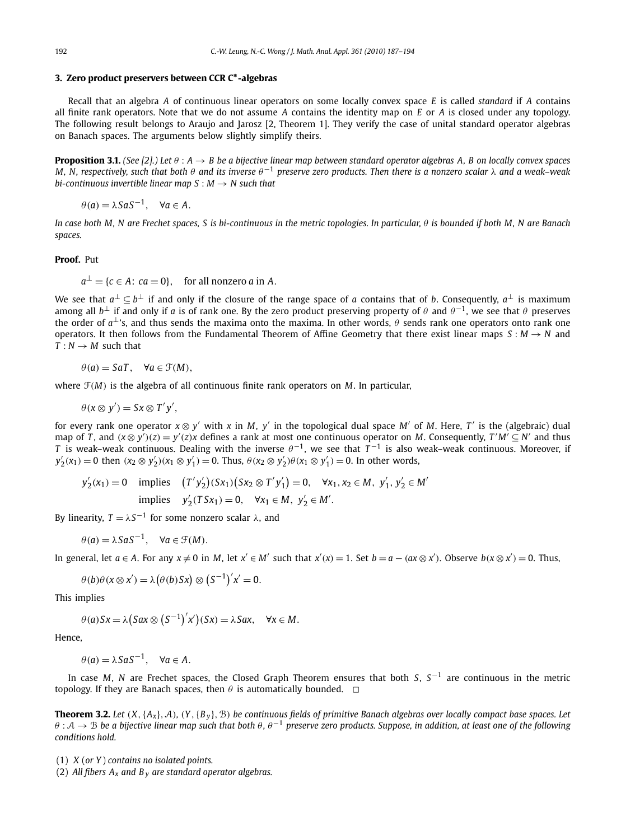### **3. Zero product preservers between CCR C∗-algebras**

Recall that an algebra *A* of continuous linear operators on some locally convex space *E* is called *standard* if *A* contains all finite rank operators. Note that we do not assume *A* contains the identity map on *E* or *A* is closed under any topology. The following result belongs to Araujo and Jarosz [2, Theorem 1]. They verify the case of unital standard operator algebras on Banach spaces. The arguments below slightly simplify theirs.

**Proposition 3.1.** *(See [2].) Let θ* : *A* → *B be a bijective linear map between standard operator algebras A, B on locally convex spaces M, N, respectively, such that both θ and its inverse θ*−<sup>1</sup> *preserve zero products. Then there is a nonzero scalar λ and a weak–weak bi-continuous invertible linear map*  $S : M \rightarrow N$  *such that* 

 $\theta$  (*a*) =  $\lambda$ *SaS*<sup>-1</sup>,  $\forall$ *a* ∈ *A*.

*In case both M, N are Frechet spaces, S is bi-continuous in the metric topologies. In particular, θ is bounded if both M, N are Banach spaces.*

#### **Proof.** Put

$$
a^{\perp} = \{c \in A : ca = 0\}
$$
, for all nonzero a in A.

We see that *a*<sup>⊥</sup> ⊆ *b*<sup>⊥</sup> if and only if the closure of the range space of *a* contains that of *b*. Consequently, *a*<sup>⊥</sup> is maximum among all  $b^{\perp}$  if and only if *a* is of rank one. By the zero product preserving property of  $\theta$  and  $\theta^{-1}$ , we see that  $\theta$  preserves the order of  $a^{\perp}$ 's, and thus sends the maxima onto the maxima. In other words,  $\theta$  sends rank one operators onto rank one operators. It then follows from the Fundamental Theorem of Affine Geometry that there exist linear maps  $S : M \to N$  and  $T: N \rightarrow M$  such that

$$
\theta(a) = SaT, \quad \forall a \in \mathcal{F}(M),
$$

where F*(M)* is the algebra of all continuous finite rank operators on *M*. In particular,

$$
\theta(x\otimes y')=Sx\otimes T'y',
$$

for every rank one operator  $x \otimes y'$  with x in M, y' in the topological dual space M' of M. Here, T' is the (algebraic) dual map of T, and  $(x \otimes y')(z) = y'(z)x$  defines a rank at most one continuous operator on M. Consequently,  $T'M' \subseteq N'$  and thus *T* is weak–weak continuous. Dealing with the inverse  $\theta^{-1}$ , we see that  $T^{-1}$  is also weak–weak continuous. Moreover, if  $y'_2(x_1) = 0$  then  $(x_2 \otimes y'_2)(x_1 \otimes y'_1) = 0$ . Thus,  $\theta(x_2 \otimes y'_2)\theta(x_1 \otimes y'_1) = 0$ . In other words,

$$
y'_2(x_1) = 0 \quad \text{implies} \quad (T'y'_2)(Sx_1)(Sx_2 \otimes T'y'_1) = 0, \quad \forall x_1, x_2 \in M, \ y'_1, y'_2 \in M' \text{ implies } y'_2(TSx_1) = 0, \quad \forall x_1 \in M, \ y'_2 \in M'.
$$

By linearity,  $T = \lambda S^{-1}$  for some nonzero scalar  $\lambda$ , and

$$
\theta(a) = \lambda S a S^{-1}, \quad \forall a \in \mathcal{F}(M).
$$

In general, let  $a \in A$ . For any  $x \neq 0$  in M, let  $x' \in M'$  such that  $x'(x) = 1$ . Set  $b = a - (ax \otimes x')$ . Observe  $b(x \otimes x') = 0$ . Thus,

$$
\theta(b)\theta(x\otimes x') = \lambda(\theta(b)Sx) \otimes (S^{-1})'x' = 0.
$$

This implies

$$
\theta(a)Sx = \lambda(Sax \otimes (S^{-1})'x')(Sx) = \lambda Sax, \quad \forall x \in M.
$$

Hence,

 $\theta$ (*a*) =  $\lambda$ *SaS*<sup>-1</sup>,  $\forall$ *a*  $\in$  *A*.

In case *M*, *N* are Frechet spaces, the Closed Graph Theorem ensures that both *S*, *S*−<sup>1</sup> are continuous in the metric topology. If they are Banach spaces, then  $\theta$  is automatically bounded.  $\Box$ 

**Theorem 3.2.** Let  $(X, \{A_x\}, \mathcal{A})$ ,  $(Y, \{B_y\}, \mathcal{B})$  be continuous fields of primitive Banach algebras over locally compact base spaces. Let *θ* : A → B *be a bijective linear map such that both θ , θ*−<sup>1</sup> *preserve zero products. Suppose, in addition, at least one of the following conditions hold.*

- (1) *X* (*or Y* ) *contains no isolated points.*
- (2) *All fibers Ax and B <sup>y</sup> are standard operator algebras.*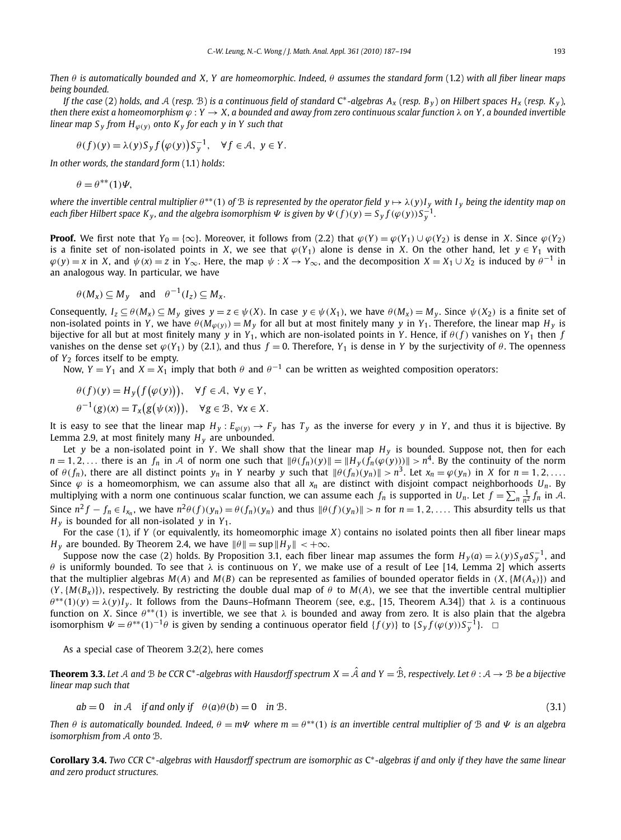*Then θ is automatically bounded and X, Y are homeomorphic. Indeed, θ assumes the standard form* (1.2) *with all fiber linear maps being bounded.*

*If the case* (2) *holds, and*  $A$  (*resp.*  $B$ ) *is a continuous field of standard* C<sup>\*</sup>-algebras  $A_x$  (*resp. B*<sub>*y*</sub>)</sub> *on Hilbert spaces*  $H_x$  (*resp. K*<sub>*y*</sub>), *then there exist a homeomorphism ϕ* : *Y* → *X, a bounded and away from zero continuous scalar function λ on Y , a bounded invertible linear map*  $S_v$  *from*  $H_{\omega}(v)$  *onto*  $K_v$  *for each*  $\gamma$  *in*  $Y$  *such that* 

$$
\theta(f)(y) = \lambda(y) S_y f(\varphi(y)) S_y^{-1}, \quad \forall f \in \mathcal{A}, \ y \in Y.
$$

*In other words, the standard form* (1.1) *holds*:

$$
\theta = \theta^{**}(1)\Psi,
$$

where the invertible central multiplier  $\theta^{**}(1)$  of  $\mathcal B$  is represented by the operator field  $y \mapsto \lambda(y)I_y$  with  $I_y$  being the identity map on each fiber Hilbert space K<sub>y</sub>, and the algebra isomorphism  $\Psi$  is given by  $\Psi(f)(y) = S_y f(\varphi(y))S_y^{-1}$ .

**Proof.** We first note that  $Y_0 = \{\infty\}$ . Moreover, it follows from (2.2) that  $\varphi(Y) = \varphi(Y_1) \cup \varphi(Y_2)$  is dense in X. Since  $\varphi(Y_2)$ is a finite set of non-isolated points in *X*, we see that  $\varphi(Y_1)$  alone is dense in *X*. On the other hand, let  $y \in Y_1$  with  $\varphi(y) = x$  in X, and  $\psi(x) = z$  in  $Y_{\infty}$ . Here, the map  $\psi : X \to Y_{\infty}$ , and the decomposition  $X = X_1 \cup X_2$  is induced by  $\theta^{-1}$  in an analogous way. In particular, we have

$$
\theta(M_x) \subseteq M_y
$$
 and  $\theta^{-1}(I_z) \subseteq M_x$ .

Consequently,  $I_z \subseteq \theta(M_x) \subseteq M_y$  gives  $y = z \in \psi(X)$ . In case  $y \in \psi(X_1)$ , we have  $\theta(M_x) = M_y$ . Since  $\psi(X_2)$  is a finite set of non-isolated points in *Y*, we have  $\theta(M_{\varphi(y)}) = M_y$  for all but at most finitely many *y* in *Y*<sub>1</sub>. Therefore, the linear map *H*<sub>*y*</sub> is bijective for all but at most finitely many *y* in  $Y_1$ , which are non-isolated points in *Y*. Hence, if  $\theta(f)$  vanishes on  $Y_1$  then *f* vanishes on the dense set  $\varphi(Y_1)$  by (2.1), and thus  $f = 0$ . Therefore,  $Y_1$  is dense in *Y* by the surjectivity of  $\theta$ . The openness of *Y*<sup>2</sup> forces itself to be empty.

Now,  $Y = Y_1$  and  $X = X_1$  imply that both  $\theta$  and  $\theta^{-1}$  can be written as weighted composition operators:

$$
\theta(f)(y) = H_y(f(\varphi(y))), \quad \forall f \in \mathcal{A}, \ \forall y \in Y, \n\theta^{-1}(g)(x) = T_x(g(\psi(x))), \quad \forall g \in \mathcal{B}, \ \forall x \in X.
$$

It is easy to see that the linear map  $H_y$ :  $E_{\varphi(y)} \to F_y$  has  $T_y$  as the inverse for every *y* in *Y*, and thus it is bijective. By Lemma 2.9, at most finitely many  $H_y$  are unbounded.

Let *y* be a non-isolated point in *Y*. We shall show that the linear map  $H<sub>v</sub>$  is bounded. Suppose not, then for each  $n = 1, 2, ...$  there is an  $f_n$  in A of norm one such that  $\|\theta(f_n)(y)\| = \|H_y(f_n(\varphi(y)))\| > n^4$ . By the continuity of the norm of  $\theta(f_n)$ , there are all distinct points  $y_n$  in Y nearby y such that  $\|\theta(f_n)(y_n)\| > n^3$ . Let  $x_n = \varphi(y_n)$  in X for  $n = 1, 2, ...$ Since  $\varphi$  is a homeomorphism, we can assume also that all  $x_n$  are distinct with disjoint compact neighborhoods  $U_n$ . By multiplying with a norm one continuous scalar function, we can assume each  $f_n$  is supported in  $U_n$ . Let  $f = \sum_n \frac{1}{n^2} f_n$  in A. Since  $n^2 f - f_n \in I_{x_n}$ , we have  $n^2 \theta(f)(y_n) = \theta(f_n)(y_n)$  and thus  $\|\theta(f)(y_n)\| > n$  for  $n = 1, 2, ...$  This absurdity tells us that  $H_v$  is bounded for all non-isolated *y* in  $Y_1$ .

For the case (1), if *Y* (or equivalently, its homeomorphic image *X*) contains no isolated points then all fiber linear maps *H*<sub>*y*</sub> are bounded. By Theorem 2.4, we have  $\|\theta\| = \sup \|H_y\| < +\infty$ .

Suppose now the case (2) holds. By Proposition 3.1, each fiber linear map assumes the form  $H_y(a) = \lambda(y)S_yaS_y^{-1}$ , and *θ* is uniformly bounded. To see that *λ* is continuous on *Y* , we make use of a result of Lee [14, Lemma 2] which asserts that the multiplier algebras  $M(A)$  and  $M(B)$  can be represented as families of bounded operator fields in  $(X, \{M(A_x)\})$  and  $(Y, \{M(B_x)\})$ , respectively. By restricting the double dual map of  $\theta$  to  $M(A)$ , we see that the invertible central multiplier  $\theta^{**}(1)(y) = \lambda(y)I_y$ . It follows from the Dauns–Hofmann Theorem (see, e.g., [15, Theorem A.34]) that  $\lambda$  is a continuous function on *X*. Since *θ* ∗∗*(*1*)* is invertible, we see that *λ* is bounded and away from zero. It is also plain that the algebra isomorphism  $\Psi = \theta^{**}(1)^{-1}\theta$  is given by sending a continuous operator field  $\{f(y)\}$  to  $\{S_y f(\varphi(y))S_y^{-1}\}$ .

As a special case of Theorem 3.2(2), here comes

**Theorem 3.3.** Let A and B be CCR C<sup>\*</sup>-algebras with Hausdorff spectrum  $X = \hat{A}$  and  $Y = \hat{B}$ , respectively. Let  $\theta : A \to B$  be a bijective *linear map such that*

$$
ab = 0 \quad \text{in } A \quad \text{if and only if} \quad \theta(a)\theta(b) = 0 \quad \text{in } B.
$$
\n
$$
(3.1)
$$

*Then θ* is automatically bounded. Indeed,  $\theta = m\Psi$  where  $m = \theta^{**}(1)$  is an invertible central multiplier of B and  $\Psi$  is an algebra *isomorphism from* A *onto* B*.*

**Corollary 3.4.** *Two CCR* C∗*-algebras with Hausdorff spectrum are isomorphic as* C∗*-algebras if and only if they have the same linear and zero product structures.*